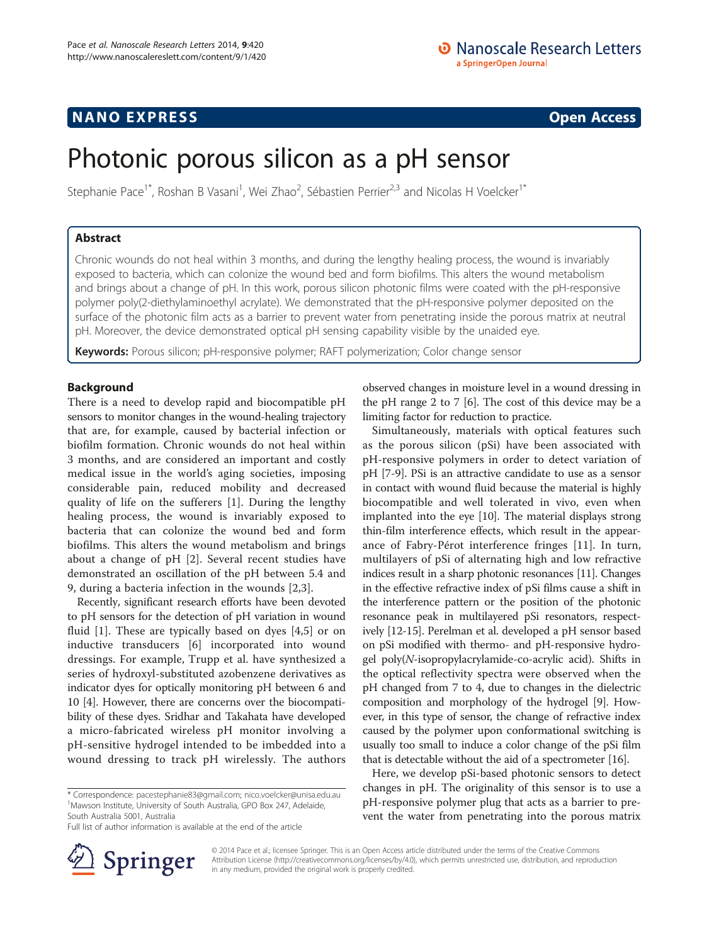# NANO EXPRESS CONTROL CONTROL CONTROL CONTROL CONTROL CONTROL CONTROL CONTROL CONTROL CONTROL CONTROL CONTROL CO

# Photonic porous silicon as a pH sensor

Stephanie Pace<sup>1\*</sup>, Roshan B Vasani<sup>1</sup>, Wei Zhao<sup>2</sup>, Sébastien Perrier<sup>2,3</sup> and Nicolas H Voelcker<sup>1\*</sup>

# Abstract

Chronic wounds do not heal within 3 months, and during the lengthy healing process, the wound is invariably exposed to bacteria, which can colonize the wound bed and form biofilms. This alters the wound metabolism and brings about a change of pH. In this work, porous silicon photonic films were coated with the pH-responsive polymer poly(2-diethylaminoethyl acrylate). We demonstrated that the pH-responsive polymer deposited on the surface of the photonic film acts as a barrier to prevent water from penetrating inside the porous matrix at neutral pH. Moreover, the device demonstrated optical pH sensing capability visible by the unaided eye.

Keywords: Porous silicon; pH-responsive polymer; RAFT polymerization; Color change sensor

## Background

There is a need to develop rapid and biocompatible pH sensors to monitor changes in the wound-healing trajectory that are, for example, caused by bacterial infection or biofilm formation. Chronic wounds do not heal within 3 months, and are considered an important and costly medical issue in the world's aging societies, imposing considerable pain, reduced mobility and decreased quality of life on the sufferers [\[1](#page-5-0)]. During the lengthy healing process, the wound is invariably exposed to bacteria that can colonize the wound bed and form biofilms. This alters the wound metabolism and brings about a change of pH [[2\]](#page-5-0). Several recent studies have demonstrated an oscillation of the pH between 5.4 and 9, during a bacteria infection in the wounds [[2,3\]](#page-5-0).

Recently, significant research efforts have been devoted to pH sensors for the detection of pH variation in wound fluid [[1\]](#page-5-0). These are typically based on dyes [[4,5\]](#page-5-0) or on inductive transducers [[6\]](#page-5-0) incorporated into wound dressings. For example, Trupp et al. have synthesized a series of hydroxyl-substituted azobenzene derivatives as indicator dyes for optically monitoring pH between 6 and 10 [[4\]](#page-5-0). However, there are concerns over the biocompatibility of these dyes. Sridhar and Takahata have developed a micro-fabricated wireless pH monitor involving a pH-sensitive hydrogel intended to be imbedded into a wound dressing to track pH wirelessly. The authors

\* Correspondence: [pacestephanie83@gmail.com;](mailto:pacestephanie83@gmail.com) [nico.voelcker@unisa.edu.au](mailto:nico.voelcker@unisa.edu.au) <sup>1</sup> <sup>1</sup>Mawson Institute, University of South Australia, GPO Box 247, Adelaide, South Australia 5001, Australia

Full list of author information is available at the end of the article



observed changes in moisture level in a wound dressing in the pH range 2 to 7 [[6](#page-5-0)]. The cost of this device may be a limiting factor for reduction to practice.

Simultaneously, materials with optical features such as the porous silicon (pSi) have been associated with pH-responsive polymers in order to detect variation of pH [[7-9\]](#page-5-0). PSi is an attractive candidate to use as a sensor in contact with wound fluid because the material is highly biocompatible and well tolerated in vivo, even when implanted into the eye [\[10\]](#page-5-0). The material displays strong thin-film interference effects, which result in the appearance of Fabry-Pérot interference fringes [[11\]](#page-5-0). In turn, multilayers of pSi of alternating high and low refractive indices result in a sharp photonic resonances [[11](#page-5-0)]. Changes in the effective refractive index of pSi films cause a shift in the interference pattern or the position of the photonic resonance peak in multilayered pSi resonators, respectively [[12](#page-5-0)-[15](#page-5-0)]. Perelman et al. developed a pH sensor based on pSi modified with thermo- and pH-responsive hydrogel poly(N-isopropylacrylamide-co-acrylic acid). Shifts in the optical reflectivity spectra were observed when the pH changed from 7 to 4, due to changes in the dielectric composition and morphology of the hydrogel [[9](#page-5-0)]. However, in this type of sensor, the change of refractive index caused by the polymer upon conformational switching is usually too small to induce a color change of the pSi film that is detectable without the aid of a spectrometer [\[16\]](#page-5-0).

Here, we develop pSi-based photonic sensors to detect changes in pH. The originality of this sensor is to use a pH-responsive polymer plug that acts as a barrier to prevent the water from penetrating into the porous matrix

© 2014 Pace et al.; licensee Springer. This is an Open Access article distributed under the terms of the Creative Commons Attribution License [\(http://creativecommons.org/licenses/by/4.0\)](http://creativecommons.org/licenses/by/4.0), which permits unrestricted use, distribution, and reproduction in any medium, provided the original work is properly credited.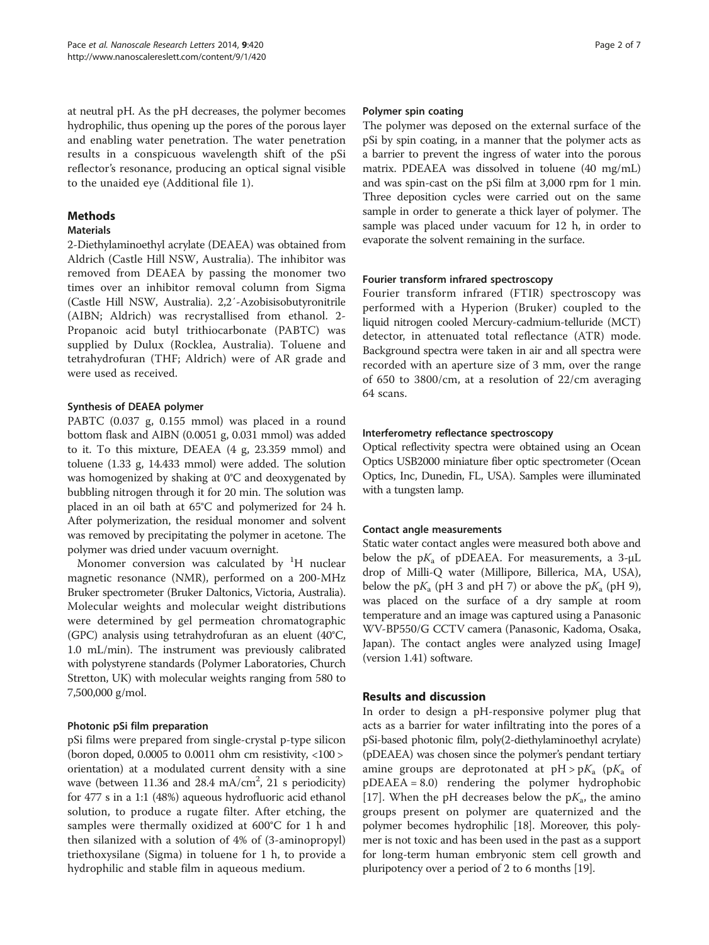at neutral pH. As the pH decreases, the polymer becomes hydrophilic, thus opening up the pores of the porous layer and enabling water penetration. The water penetration results in a conspicuous wavelength shift of the pSi reflector's resonance, producing an optical signal visible to the unaided eye (Additional file [1\)](#page-5-0).

# Methods

## **Materials**

2-Diethylaminoethyl acrylate (DEAEA) was obtained from Aldrich (Castle Hill NSW, Australia). The inhibitor was removed from DEAEA by passing the monomer two times over an inhibitor removal column from Sigma (Castle Hill NSW, Australia). 2,2′-Azobisisobutyronitrile (AIBN; Aldrich) was recrystallised from ethanol. 2- Propanoic acid butyl trithiocarbonate (PABTC) was supplied by Dulux (Rocklea, Australia). Toluene and tetrahydrofuran (THF; Aldrich) were of AR grade and were used as received.

## Synthesis of DEAEA polymer

PABTC (0.037 g, 0.155 mmol) was placed in a round bottom flask and AIBN (0.0051 g, 0.031 mmol) was added to it. To this mixture, DEAEA (4 g, 23.359 mmol) and toluene (1.33 g, 14.433 mmol) were added. The solution was homogenized by shaking at 0°C and deoxygenated by bubbling nitrogen through it for 20 min. The solution was placed in an oil bath at 65°C and polymerized for 24 h. After polymerization, the residual monomer and solvent was removed by precipitating the polymer in acetone. The polymer was dried under vacuum overnight.

Monomer conversion was calculated by  ${}^{1}H$  nuclear magnetic resonance (NMR), performed on a 200-MHz Bruker spectrometer (Bruker Daltonics, Victoria, Australia). Molecular weights and molecular weight distributions were determined by gel permeation chromatographic (GPC) analysis using tetrahydrofuran as an eluent (40°C, 1.0 mL/min). The instrument was previously calibrated with polystyrene standards (Polymer Laboratories, Church Stretton, UK) with molecular weights ranging from 580 to 7,500,000 g/mol.

# Photonic pSi film preparation

pSi films were prepared from single-crystal p-type silicon (boron doped, 0.0005 to 0.0011 ohm cm resistivity, <100 > orientation) at a modulated current density with a sine wave (between  $11.36$  and  $28.4$  mA/cm<sup>2</sup>, 21 s periodicity) for 477 s in a 1:1 (48%) aqueous hydrofluoric acid ethanol solution, to produce a rugate filter. After etching, the samples were thermally oxidized at 600°C for 1 h and then silanized with a solution of 4% of (3-aminopropyl) triethoxysilane (Sigma) in toluene for 1 h, to provide a hydrophilic and stable film in aqueous medium.

## Polymer spin coating

The polymer was deposed on the external surface of the pSi by spin coating, in a manner that the polymer acts as a barrier to prevent the ingress of water into the porous matrix. PDEAEA was dissolved in toluene (40 mg/mL) and was spin-cast on the pSi film at 3,000 rpm for 1 min. Three deposition cycles were carried out on the same sample in order to generate a thick layer of polymer. The sample was placed under vacuum for 12 h, in order to evaporate the solvent remaining in the surface.

## Fourier transform infrared spectroscopy

Fourier transform infrared (FTIR) spectroscopy was performed with a Hyperion (Bruker) coupled to the liquid nitrogen cooled Mercury-cadmium-telluride (MCT) detector, in attenuated total reflectance (ATR) mode. Background spectra were taken in air and all spectra were recorded with an aperture size of 3 mm, over the range of 650 to 3800/cm, at a resolution of 22/cm averaging 64 scans.

## Interferometry reflectance spectroscopy

Optical reflectivity spectra were obtained using an Ocean Optics USB2000 miniature fiber optic spectrometer (Ocean Optics, Inc, Dunedin, FL, USA). Samples were illuminated with a tungsten lamp.

## Contact angle measurements

Static water contact angles were measured both above and below the  $pK_a$  of pDEAEA. For measurements, a 3- $\mu$ L drop of Milli-Q water (Millipore, Billerica, MA, USA), below the  $pK_a$  (pH 3 and pH 7) or above the  $pK_a$  (pH 9), was placed on the surface of a dry sample at room temperature and an image was captured using a Panasonic WV-BP550/G CCTV camera (Panasonic, Kadoma, Osaka, Japan). The contact angles were analyzed using ImageJ (version 1.41) software.

# Results and discussion

In order to design a pH-responsive polymer plug that acts as a barrier for water infiltrating into the pores of a pSi-based photonic film, poly(2-diethylaminoethyl acrylate) (pDEAEA) was chosen since the polymer's pendant tertiary amine groups are deprotonated at  $pH > pK_a$  ( $pK_a$  of pDEAEA = 8.0) rendering the polymer hydrophobic [[17\]](#page-5-0). When the pH decreases below the  $pK_a$ , the amino groups present on polymer are quaternized and the polymer becomes hydrophilic [[18](#page-5-0)]. Moreover, this polymer is not toxic and has been used in the past as a support for long-term human embryonic stem cell growth and pluripotency over a period of 2 to 6 months [\[19\]](#page-5-0).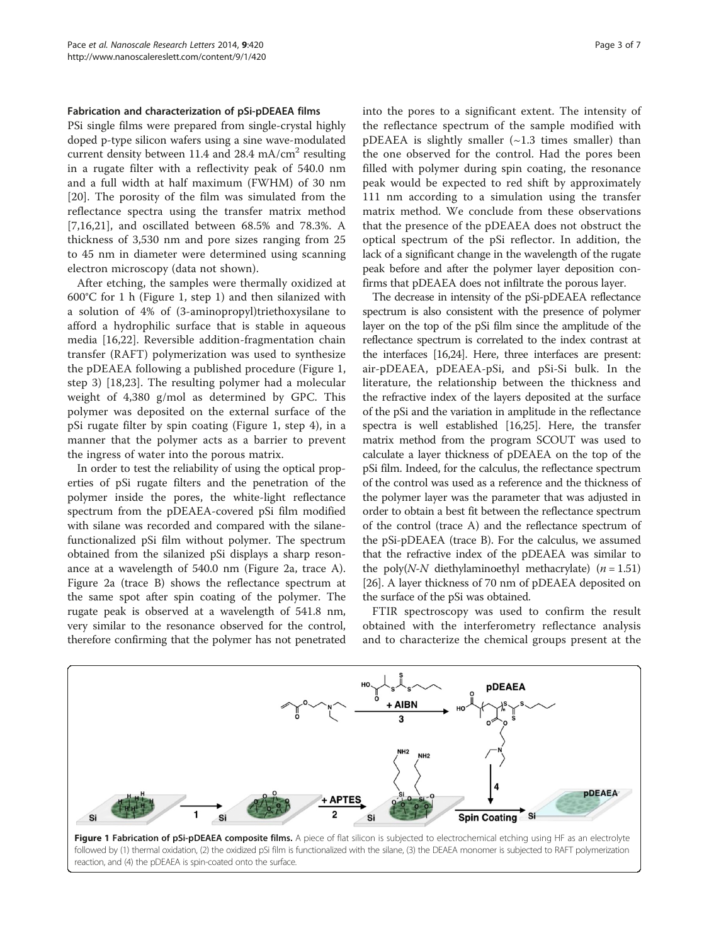#### Fabrication and characterization of pSi-pDEAEA films

PSi single films were prepared from single-crystal highly doped p-type silicon wafers using a sine wave-modulated current density between 11.4 and 28.4 mA/ $\text{cm}^2$  resulting in a rugate filter with a reflectivity peak of 540.0 nm and a full width at half maximum (FWHM) of 30 nm [[20\]](#page-5-0). The porosity of the film was simulated from the reflectance spectra using the transfer matrix method [[7,16,21](#page-5-0)], and oscillated between 68.5% and 78.3%. A thickness of 3,530 nm and pore sizes ranging from 25 to 45 nm in diameter were determined using scanning electron microscopy (data not shown).

After etching, the samples were thermally oxidized at 600°C for 1 h (Figure 1, step 1) and then silanized with a solution of 4% of (3-aminopropyl)triethoxysilane to afford a hydrophilic surface that is stable in aqueous media [\[16,22](#page-5-0)]. Reversible addition-fragmentation chain transfer (RAFT) polymerization was used to synthesize the pDEAEA following a published procedure (Figure 1, step 3) [[18,23\]](#page-5-0). The resulting polymer had a molecular weight of 4,380 g/mol as determined by GPC. This polymer was deposited on the external surface of the pSi rugate filter by spin coating (Figure 1, step 4), in a manner that the polymer acts as a barrier to prevent the ingress of water into the porous matrix.

In order to test the reliability of using the optical properties of pSi rugate filters and the penetration of the polymer inside the pores, the white-light reflectance spectrum from the pDEAEA-covered pSi film modified with silane was recorded and compared with the silanefunctionalized pSi film without polymer. The spectrum obtained from the silanized pSi displays a sharp resonance at a wavelength of 540.0 nm (Figure [2](#page-3-0)a, trace A). Figure [2](#page-3-0)a (trace B) shows the reflectance spectrum at the same spot after spin coating of the polymer. The rugate peak is observed at a wavelength of 541.8 nm, very similar to the resonance observed for the control, therefore confirming that the polymer has not penetrated into the pores to a significant extent. The intensity of the reflectance spectrum of the sample modified with pDEAEA is slightly smaller  $(\sim 1.3$  times smaller) than the one observed for the control. Had the pores been filled with polymer during spin coating, the resonance peak would be expected to red shift by approximately 111 nm according to a simulation using the transfer matrix method. We conclude from these observations that the presence of the pDEAEA does not obstruct the optical spectrum of the pSi reflector. In addition, the lack of a significant change in the wavelength of the rugate peak before and after the polymer layer deposition confirms that pDEAEA does not infiltrate the porous layer.

The decrease in intensity of the pSi-pDEAEA reflectance spectrum is also consistent with the presence of polymer layer on the top of the pSi film since the amplitude of the reflectance spectrum is correlated to the index contrast at the interfaces [\[16,24\]](#page-5-0). Here, three interfaces are present: air-pDEAEA, pDEAEA-pSi, and pSi-Si bulk. In the literature, the relationship between the thickness and the refractive index of the layers deposited at the surface of the pSi and the variation in amplitude in the reflectance spectra is well established [[16,25](#page-5-0)]. Here, the transfer matrix method from the program SCOUT was used to calculate a layer thickness of pDEAEA on the top of the pSi film. Indeed, for the calculus, the reflectance spectrum of the control was used as a reference and the thickness of the polymer layer was the parameter that was adjusted in order to obtain a best fit between the reflectance spectrum of the control (trace A) and the reflectance spectrum of the pSi-pDEAEA (trace B). For the calculus, we assumed that the refractive index of the pDEAEA was similar to the poly(*N-N* diethylaminoethyl methacrylate)  $(n = 1.51)$ [[26](#page-5-0)]. A layer thickness of 70 nm of pDEAEA deposited on the surface of the pSi was obtained.

FTIR spectroscopy was used to confirm the result obtained with the interferometry reflectance analysis and to characterize the chemical groups present at the



reaction, and (4) the pDEAEA is spin-coated onto the surface.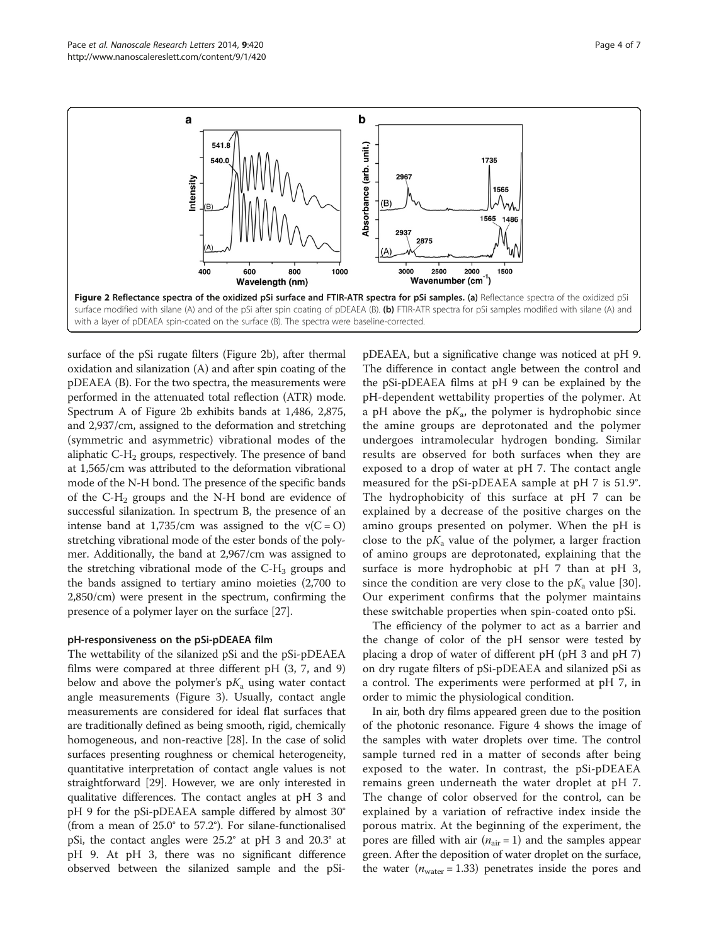<span id="page-3-0"></span>

surface of the pSi rugate filters (Figure 2b), after thermal oxidation and silanization (A) and after spin coating of the pDEAEA (B). For the two spectra, the measurements were performed in the attenuated total reflection (ATR) mode. Spectrum A of Figure 2b exhibits bands at 1,486, 2,875, and 2,937/cm, assigned to the deformation and stretching (symmetric and asymmetric) vibrational modes of the aliphatic C-H<sub>2</sub> groups, respectively. The presence of band at 1,565/cm was attributed to the deformation vibrational mode of the N-H bond. The presence of the specific bands of the  $C-H_2$  groups and the N-H bond are evidence of successful silanization. In spectrum B, the presence of an intense band at  $1,735/cm$  was assigned to the  $v(C = O)$ stretching vibrational mode of the ester bonds of the polymer. Additionally, the band at 2,967/cm was assigned to the stretching vibrational mode of the  $C-H<sub>3</sub>$  groups and the bands assigned to tertiary amino moieties (2,700 to 2,850/cm) were present in the spectrum, confirming the presence of a polymer layer on the surface [\[27\]](#page-5-0).

### pH-responsiveness on the pSi-pDEAEA film

The wettability of the silanized pSi and the pSi-pDEAEA films were compared at three different pH (3, 7, and 9) below and above the polymer's  $pK_a$  using water contact angle measurements (Figure [3](#page-4-0)). Usually, contact angle measurements are considered for ideal flat surfaces that are traditionally defined as being smooth, rigid, chemically homogeneous, and non-reactive [\[28\]](#page-5-0). In the case of solid surfaces presenting roughness or chemical heterogeneity, quantitative interpretation of contact angle values is not straightforward [\[29\]](#page-6-0). However, we are only interested in qualitative differences. The contact angles at pH 3 and pH 9 for the pSi-pDEAEA sample differed by almost 30° (from a mean of 25.0° to 57.2°). For silane-functionalised pSi, the contact angles were 25.2° at pH 3 and 20.3° at pH 9. At pH 3, there was no significant difference observed between the silanized sample and the pSipDEAEA, but a significative change was noticed at pH 9. The difference in contact angle between the control and the pSi-pDEAEA films at pH 9 can be explained by the pH-dependent wettability properties of the polymer. At a pH above the  $pK_a$ , the polymer is hydrophobic since the amine groups are deprotonated and the polymer undergoes intramolecular hydrogen bonding. Similar results are observed for both surfaces when they are exposed to a drop of water at pH 7. The contact angle measured for the pSi-pDEAEA sample at pH 7 is 51.9°. The hydrophobicity of this surface at pH 7 can be explained by a decrease of the positive charges on the amino groups presented on polymer. When the pH is close to the  $pK_a$  value of the polymer, a larger fraction of amino groups are deprotonated, explaining that the surface is more hydrophobic at pH 7 than at pH 3, since the condition are very close to the  $pK_a$  value [\[30](#page-6-0)]. Our experiment confirms that the polymer maintains these switchable properties when spin-coated onto pSi.

The efficiency of the polymer to act as a barrier and the change of color of the pH sensor were tested by placing a drop of water of different pH (pH 3 and pH 7) on dry rugate filters of pSi-pDEAEA and silanized pSi as a control. The experiments were performed at pH 7, in order to mimic the physiological condition.

In air, both dry films appeared green due to the position of the photonic resonance. Figure [4](#page-4-0) shows the image of the samples with water droplets over time. The control sample turned red in a matter of seconds after being exposed to the water. In contrast, the pSi-pDEAEA remains green underneath the water droplet at pH 7. The change of color observed for the control, can be explained by a variation of refractive index inside the porous matrix. At the beginning of the experiment, the pores are filled with air ( $n_{air} = 1$ ) and the samples appear green. After the deposition of water droplet on the surface, the water ( $n_{\text{water}} = 1.33$ ) penetrates inside the pores and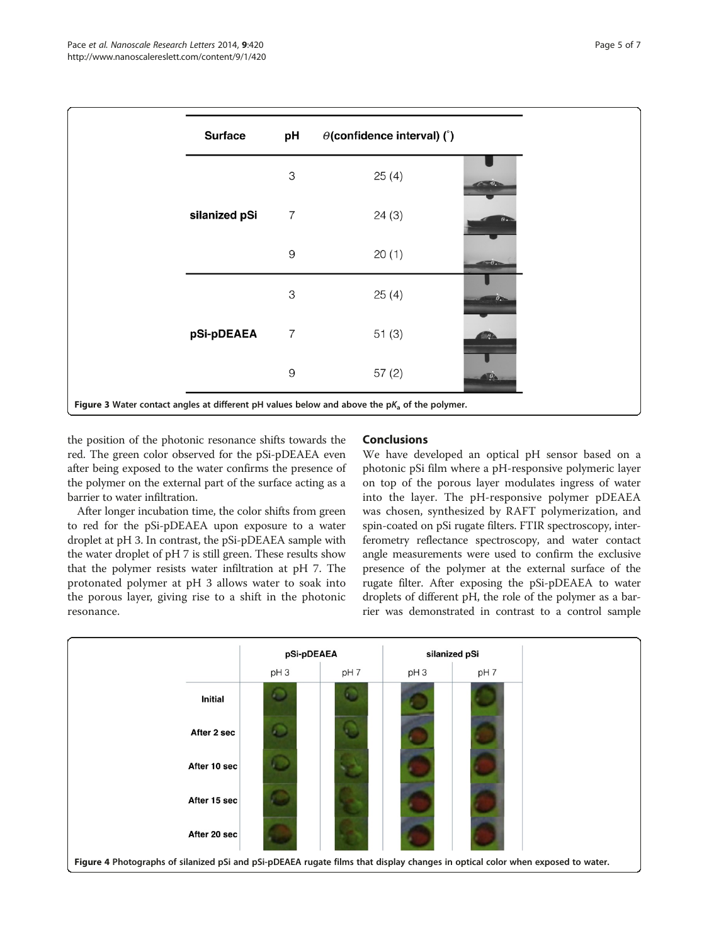<span id="page-4-0"></span>

the position of the photonic resonance shifts towards the red. The green color observed for the pSi-pDEAEA even after being exposed to the water confirms the presence of the polymer on the external part of the surface acting as a barrier to water infiltration.

After longer incubation time, the color shifts from green to red for the pSi-pDEAEA upon exposure to a water droplet at pH 3. In contrast, the pSi-pDEAEA sample with the water droplet of pH 7 is still green. These results show that the polymer resists water infiltration at pH 7. The protonated polymer at pH 3 allows water to soak into the porous layer, giving rise to a shift in the photonic resonance.

# Conclusions

We have developed an optical pH sensor based on a photonic pSi film where a pH-responsive polymeric layer on top of the porous layer modulates ingress of water into the layer. The pH-responsive polymer pDEAEA was chosen, synthesized by RAFT polymerization, and spin-coated on pSi rugate filters. FTIR spectroscopy, interferometry reflectance spectroscopy, and water contact angle measurements were used to confirm the exclusive presence of the polymer at the external surface of the rugate filter. After exposing the pSi-pDEAEA to water droplets of different pH, the role of the polymer as a barrier was demonstrated in contrast to a control sample

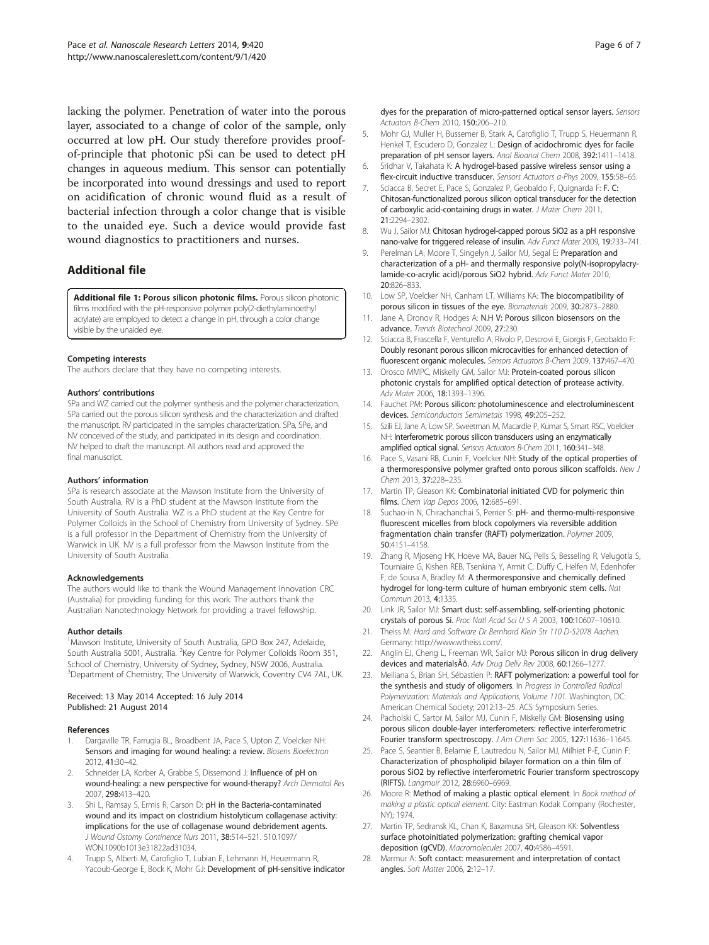<span id="page-5-0"></span>lacking the polymer. Penetration of water into the porous layer, associated to a change of color of the sample, only occurred at low pH. Our study therefore provides proofof-principle that photonic pSi can be used to detect pH changes in aqueous medium. This sensor can potentially be incorporated into wound dressings and used to report on acidification of chronic wound fluid as a result of bacterial infection through a color change that is visible to the unaided eye. Such a device would provide fast wound diagnostics to practitioners and nurses.

# Additional file

[Additional file 1:](http://www.biomedcentral.com/content/supplementary/1556-276X-9-420-S1.docx) Porous silicon photonic films. Porous silicon photonic films modified with the pH-responsive polymer poly(2-diethylaminoethyl acrylate) are employed to detect a change in pH, through a color change visible by the unaided eye.

#### Competing interests

The authors declare that they have no competing interests.

#### Authors' contributions

SPa and WZ carried out the polymer synthesis and the polymer characterization. SPa carried out the porous silicon synthesis and the characterization and drafted the manuscript. RV participated in the samples characterization. SPa, SPe, and NV conceived of the study, and participated in its design and coordination. NV helped to draft the manuscript. All authors read and approved the final manuscript.

#### Authors' information

SPa is research associate at the Mawson Institute from the University of South Australia. RV is a PhD student at the Mawson Institute from the University of South Australia. WZ is a PhD student at the Key Centre for Polymer Colloids in the School of Chemistry from University of Sydney. SPe is a full professor in the Department of Chemistry from the University of Warwick in UK. NV is a full professor from the Mawson Institute from the University of South Australia.

#### Acknowledgements

The authors would like to thank the Wound Management Innovation CRC (Australia) for providing funding for this work. The authors thank the Australian Nanotechnology Network for providing a travel fellowship.

#### Author details

<sup>1</sup>Mawson Institute, University of South Australia, GPO Box 247, Adelaide, South Australia 5001, Australia. <sup>2</sup>Key Centre for Polymer Colloids Room 351, School of Chemistry, University of Sydney, Sydney, NSW 2006, Australia. <sup>3</sup>Department of Chemistry, The University of Warwick, Coventry CV4 7AL, UK.

#### Received: 13 May 2014 Accepted: 16 July 2014 Published: 21 August 2014

#### References

- Dargaville TR, Farrugia BL, Broadbent JA, Pace S, Upton Z, Voelcker NH: Sensors and imaging for wound healing: a review. Biosens Bioelectron 2012, 41:30–42.
- 2. Schneider LA, Korber A, Grabbe S, Dissemond J: Influence of pH on wound-healing: a new perspective for wound-therapy? Arch Dermatol Res 2007, 298:413–420.
- Shi L, Ramsay S, Ermis R, Carson D: pH in the Bacteria-contaminated wound and its impact on clostridium histolyticum collagenase activity: implications for the use of collagenase wound debridement agents. J Wound Ostomy Continence Nurs 2011, 38:514–521. 510.1097/ WON.1090b1013e31822ad31034.
- 4. Trupp S, Alberti M, Carofiglio T, Lubian E, Lehmann H, Heuermann R, Yacoub-George E, Bock K, Mohr GJ: Development of pH-sensitive indicator

dyes for the preparation of micro-patterned optical sensor layers. Sensors Actuators B-Chem 2010, 150:206–210.

- 5. Mohr GJ, Muller H, Bussemer B, Stark A, Carofiglio T, Trupp S, Heuermann R, Henkel T, Escudero D, Gonzalez L: Design of acidochromic dyes for facile preparation of pH sensor layers. Anal Bioanal Chem 2008, 392:1411–1418.
- Sridhar V, Takahata K: A hydrogel-based passive wireless sensor using a flex-circuit inductive transducer. Sensors Actuators a-Phys 2009, 155:58-65.
- 7. Sciacca B, Secret E, Pace S, Gonzalez P, Geobaldo F, Quignarda F: F. C: Chitosan-functionalized porous silicon optical transducer for the detection of carboxylic acid-containing drugs in water. J Mater Chem 2011, 21:2294–2302.
- 8. Wu J, Sailor MJ: Chitosan hydrogel-capped porous SiO2 as a pH responsive nano-valve for triggered release of insulin. Adv Funct Mater 2009, 19:733–741.
- 9. Perelman LA, Moore T, Singelyn J, Sailor MJ, Segal E: Preparation and characterization of a pH- and thermally responsive poly(N-isopropylacrylamide-co-acrylic acid)/porous SiO2 hybrid. Adv Funct Mater 2010, 20:826–833.
- 10. Low SP, Voelcker NH, Canham LT, Williams KA: The biocompatibility of porous silicon in tissues of the eye. Biomaterials 2009, 30:2873–2880.
- 11. Jane A, Dronov R, Hodges A: N.H V: Porous silicon biosensors on the advance. Trends Biotechnol 2009, 27:230.
- 12. Sciacca B, Frascella F, Venturello A, Rivolo P, Descrovi E, Giorgis F, Geobaldo F: Doubly resonant porous silicon microcavities for enhanced detection of fluorescent organic molecules. Sensors Actuators B-Chem 2009, 137:467–470.
- 13. Orosco MMPC, Miskelly GM, Sailor MJ: Protein-coated porous silicon photonic crystals for amplified optical detection of protease activity. Adv Mater 2006, 18:1393–1396.
- 14. Fauchet PM: Porous silicon: photoluminescence and electroluminescent devices. Semiconductors Semimetals 1998, 49:205–252.
- 15. Szili EJ, Jane A, Low SP, Sweetman M, Macardle P, Kumar S, Smart RSC, Voelcker NH: Interferometric porous silicon transducers using an enzymatically amplified optical signal. Sensors Actuators B-Chem 2011, 160:341–348.
- 16. Pace S, Vasani RB, Cunin F, Voelcker NH: Study of the optical properties of a thermoresponsive polymer grafted onto porous silicon scaffolds. New J Chem 2013, 37:228-235.
- 17. Martin TP, Gleason KK: Combinatorial initiated CVD for polymeric thin films. Chem Vap Depos 2006, 12:685–691.
- 18. Suchao-in N, Chirachanchai S, Perrier S: pH- and thermo-multi-responsive fluorescent micelles from block copolymers via reversible addition fragmentation chain transfer (RAFT) polymerization. Polymer 2009, 50:4151–4158.
- 19. Zhang R, Mjoseng HK, Hoeve MA, Bauer NG, Pells S, Besseling R, Velugotla S, Tourniaire G, Kishen REB, Tsenkina Y, Armit C, Duffy C, Helfen M, Edenhofer F, de Sousa A, Bradley M: A thermoresponsive and chemically defined hydrogel for long-term culture of human embryonic stem cells. Nat Commun 2013, 4:1335.
- 20. Link JR, Sailor MJ: Smart dust: self-assembling, self-orienting photonic crystals of porous Si. Proc Natl Acad Sci U S A 2003, 100:10607–10610.
- 21. Theiss M: Hard and Software Dr Bernhard Klein Str 110 D-52078 Aachen. Germany: [http://www.wtheiss.com/.](http://www.wtheiss.com/)
- 22. Anglin EJ, Cheng L, Freeman WR, Sailor MJ: Porous silicon in drug deliverv devices and materialsÅô. Adv Drug Deliv Rev 2008, 60:1266–1277.
- 23. Meiliana S, Brian SH, Sébastien P: RAFT polymerization: a powerful tool for the synthesis and study of oligomers. In Progress in Controlled Radical Polymerization: Materials and Applications, Volume 1101. Washington, DC: American Chemical Society; 2012:13–25. ACS Symposium Series.
- 24. Pacholski C, Sartor M, Sailor MJ, Cunin F, Miskelly GM: Biosensing using porous silicon double-layer interferometers: reflective interferometric Fourier transform spectroscopy. J Am Chem Soc 2005, 127:11636-11645.
- 25. Pace S, Seantier B, Belamie E, Lautredou N, Sailor MJ, Milhiet P-E, Cunin F: Characterization of phospholipid bilayer formation on a thin film of porous SiO2 by reflective interferometric Fourier transform spectroscopy (RIFTS). Langmuir 2012, 28:6960–6969.
- 26. Moore R: Method of making a plastic optical element. In Book method of making a plastic optical element. City: Eastman Kodak Company (Rochester, NY); 1974.
- 27. Martin TP, Sedransk KL, Chan K, Baxamusa SH, Gleason KK: Solventless surface photoinitiated polymerization: grafting chemical vapor deposition (gCVD). Macromolecules 2007, 40:4586–4591.
- 28. Marmur A: Soft contact: measurement and interpretation of contact angles. Soft Matter 2006, 2:12–17.